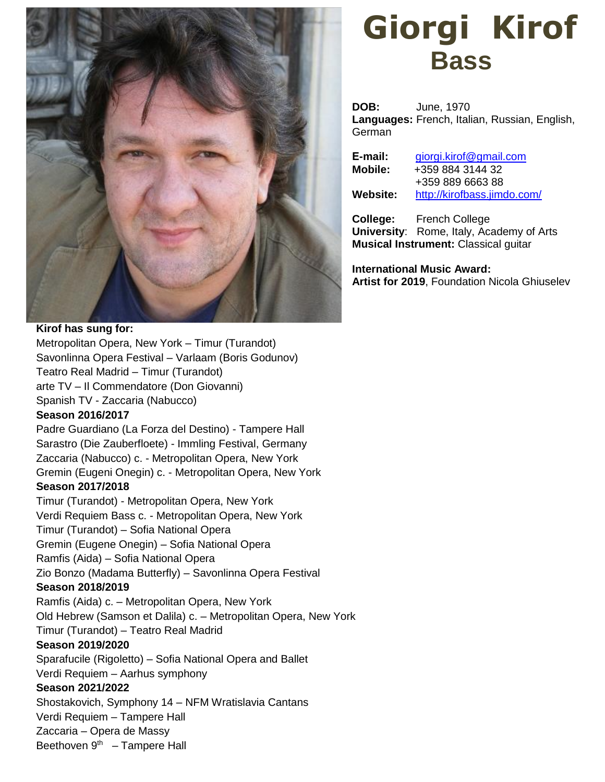

### **Kirof has sung for:**

Metropolitan Opera, New York – Timur (Turandot) Savonlinna Opera Festival – Varlaam (Boris Godunov) Teatro Real Madrid – Timur (Turandot) arte TV – Il Commendatore (Don Giovanni) Spanish TV - Zaccaria (Nabucco)

#### **Season 2016/2017**

Padre Guardiano (La Forza del Destino) - Tampere Hall Sarastro (Die Zauberfloete) - Immling Festival, Germany Zaccaria (Nabucco) c. - Metropolitan Opera, New York Gremin (Eugeni Onegin) c. - Metropolitan Opera, New York **Season 2017/2018**

Timur (Turandot) - Metropolitan Opera, New York Verdi Requiem Bass c. - Metropolitan Opera, New York Timur (Turandot) – Sofia National Opera Gremin (Eugene Onegin) – Sofia National Opera Ramfis (Aida) – Sofia National Opera Zio Bonzo (Madama Butterfly) – Savonlinna Opera Festival **Season 2018/2019** Ramfis (Aida) c. – Metropolitan Opera, New York Old Hebrew (Samson et Dalila) c. – Metropolitan Opera, New York Timur (Turandot) – Teatro Real Madrid

### **Season 2019/2020**

Sparafucile (Rigoletto) – Sofia National Opera and Ballet

Verdi Requiem – Aarhus symphony

## **Season 2021/2022**

Shostakovich, Symphony 14 – NFM Wratislavia Cantans

Verdi Requiem – Tampere Hall

Zaccaria – Opera de Massy

Beethoven  $9<sup>th</sup>$  – Tampere Hall

# **Giorgi Kirof Bass**

**DOB:** June, 1970 **Languages:** French, Italian, Russian, English, **German** 

| E-mail:  | giorgi.kirof@gmail.com      |
|----------|-----------------------------|
| Mobile:  | +359 884 3144 32            |
|          | +359 889 6663 88            |
| Website: | http://kirofbass.jimdo.com/ |
|          |                             |

**College:** French College **University**: Rome, Italy, Academy of Arts **Musical Instrument:** Classical guitar

**International Music Award: Artist for 2019**, Foundation Nicola Ghiuselev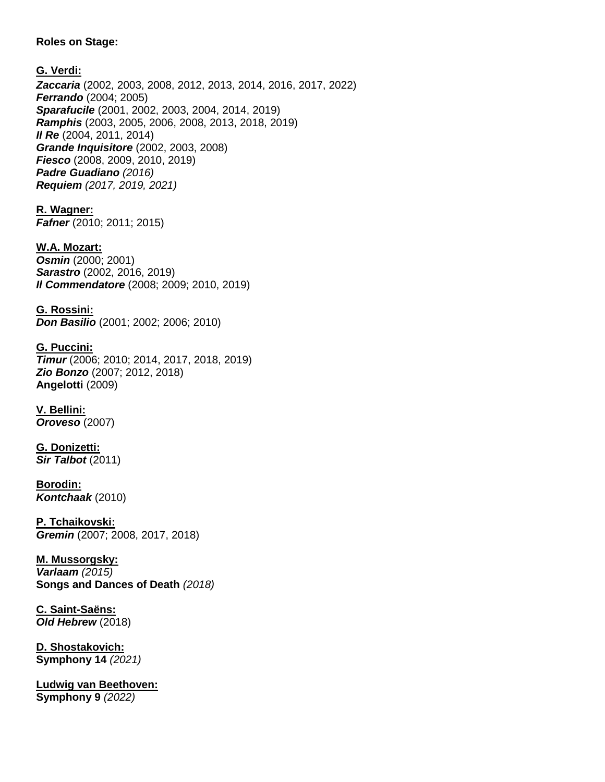### **Roles on Stage:**

### **G. Verdi:**

*Zaccaria* (2002, 2003, 2008, 2012, 2013, 2014, 2016, 2017, 2022) *Ferrando* (2004; 2005) *Sparafucile* (2001, 2002, 2003, 2004, 2014, 2019) *Ramphis* (2003, 2005, 2006, 2008, 2013, 2018, 2019) *Il Re* (2004, 2011, 2014) *Grande Inquisitore* (2002, 2003, 2008) *Fiesco* (2008, 2009, 2010, 2019) *Padre Guadiano (2016) Requiem (2017, 2019, 2021)*

**R. Wagner:** *Fafner* (2010; 2011; 2015)

**W.A. Mozart:** *Osmin* (2000; 2001) *Sarastro* (2002, 2016, 2019) *Il Commendatore* (2008; 2009; 2010, 2019)

**G. Rossini:** *Don Basilio* (2001; 2002; 2006; 2010)

**G. Puccini:** *Timur* (2006; 2010; 2014, 2017, 2018, 2019) *Zio Bonzo* (2007; 2012, 2018) **Angelotti** (2009)

**V. Bellini:** *Oroveso* (2007)

**G. Donizetti:** *Sir Talbot* (2011)

**Borodin:** *Kontchaak* (2010)

**P. Tchaikovski:** *Gremin* (2007; 2008, 2017, 2018)

**M. Mussorgsky:** *Varlaam (2015)* **Songs and Dances of Death** *(2018)*

**C. Saint-Saëns:** *Old Hebrew* (2018)

**D. Shostakovich: Symphony 14** *(2021)*

**Ludwig van Beethoven: Symphony 9** *(2022)*